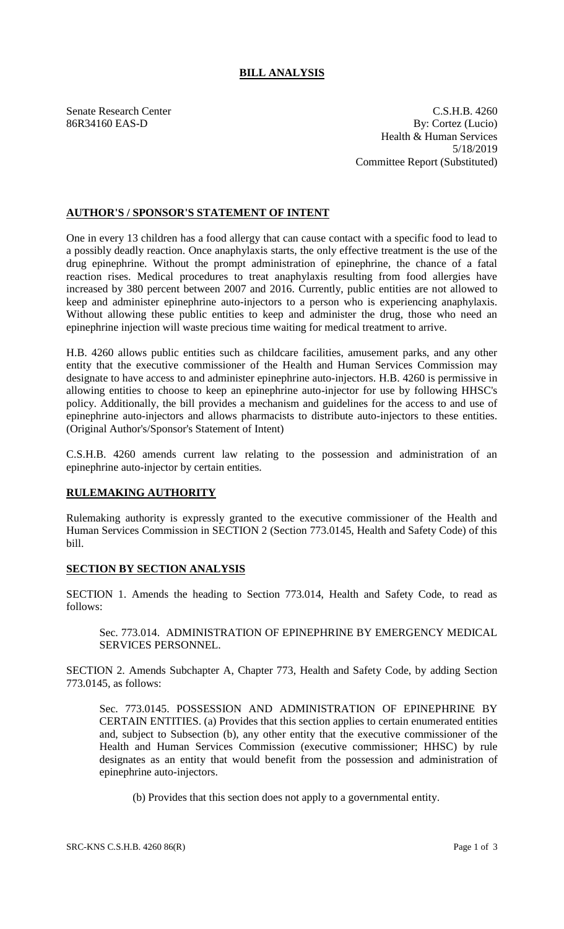## **BILL ANALYSIS**

Senate Research Center C.S.H.B. 4260 86R34160 EAS-D By: Cortez (Lucio) Health & Human Services 5/18/2019 Committee Report (Substituted)

## **AUTHOR'S / SPONSOR'S STATEMENT OF INTENT**

One in every 13 children has a food allergy that can cause contact with a specific food to lead to a possibly deadly reaction. Once anaphylaxis starts, the only effective treatment is the use of the drug epinephrine. Without the prompt administration of epinephrine, the chance of a fatal reaction rises. Medical procedures to treat anaphylaxis resulting from food allergies have increased by 380 percent between 2007 and 2016. Currently, public entities are not allowed to keep and administer epinephrine auto-injectors to a person who is experiencing anaphylaxis. Without allowing these public entities to keep and administer the drug, those who need an epinephrine injection will waste precious time waiting for medical treatment to arrive.

H.B. 4260 allows public entities such as childcare facilities, amusement parks, and any other entity that the executive commissioner of the Health and Human Services Commission may designate to have access to and administer epinephrine auto-injectors. H.B. 4260 is permissive in allowing entities to choose to keep an epinephrine auto-injector for use by following HHSC's policy. Additionally, the bill provides a mechanism and guidelines for the access to and use of epinephrine auto-injectors and allows pharmacists to distribute auto-injectors to these entities. (Original Author's/Sponsor's Statement of Intent)

C.S.H.B. 4260 amends current law relating to the possession and administration of an epinephrine auto-injector by certain entities.

## **RULEMAKING AUTHORITY**

Rulemaking authority is expressly granted to the executive commissioner of the Health and Human Services Commission in SECTION 2 (Section 773.0145, Health and Safety Code) of this bill.

## **SECTION BY SECTION ANALYSIS**

SECTION 1. Amends the heading to Section 773.014, Health and Safety Code, to read as follows:

Sec. 773.014. ADMINISTRATION OF EPINEPHRINE BY EMERGENCY MEDICAL SERVICES PERSONNEL.

SECTION 2. Amends Subchapter A, Chapter 773, Health and Safety Code, by adding Section 773.0145, as follows:

Sec. 773.0145. POSSESSION AND ADMINISTRATION OF EPINEPHRINE BY CERTAIN ENTITIES. (a) Provides that this section applies to certain enumerated entities and, subject to Subsection (b), any other entity that the executive commissioner of the Health and Human Services Commission (executive commissioner; HHSC) by rule designates as an entity that would benefit from the possession and administration of epinephrine auto-injectors.

(b) Provides that this section does not apply to a governmental entity.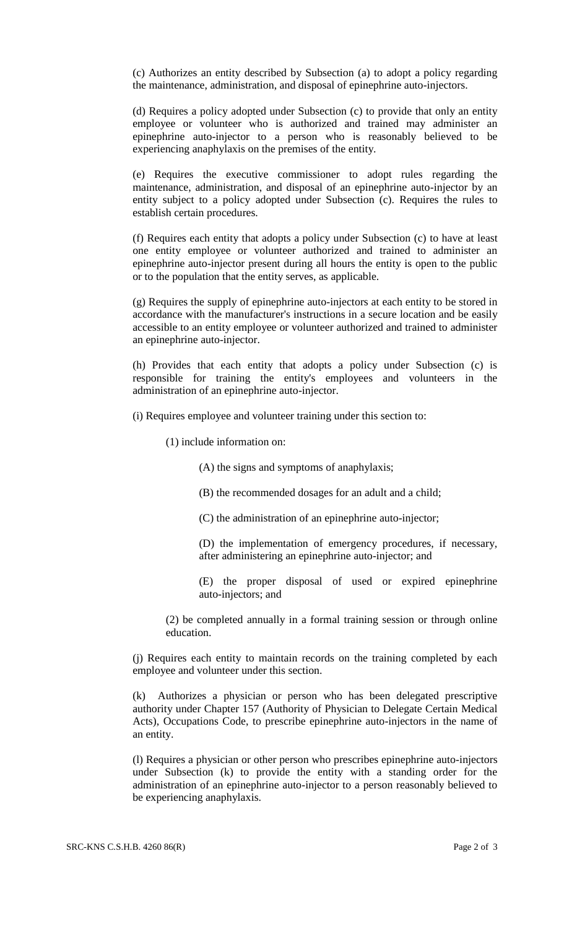(c) Authorizes an entity described by Subsection (a) to adopt a policy regarding the maintenance, administration, and disposal of epinephrine auto-injectors.

(d) Requires a policy adopted under Subsection (c) to provide that only an entity employee or volunteer who is authorized and trained may administer an epinephrine auto-injector to a person who is reasonably believed to be experiencing anaphylaxis on the premises of the entity.

(e) Requires the executive commissioner to adopt rules regarding the maintenance, administration, and disposal of an epinephrine auto-injector by an entity subject to a policy adopted under Subsection (c). Requires the rules to establish certain procedures.

(f) Requires each entity that adopts a policy under Subsection (c) to have at least one entity employee or volunteer authorized and trained to administer an epinephrine auto-injector present during all hours the entity is open to the public or to the population that the entity serves, as applicable.

(g) Requires the supply of epinephrine auto-injectors at each entity to be stored in accordance with the manufacturer's instructions in a secure location and be easily accessible to an entity employee or volunteer authorized and trained to administer an epinephrine auto-injector.

(h) Provides that each entity that adopts a policy under Subsection (c) is responsible for training the entity's employees and volunteers in the administration of an epinephrine auto-injector.

(i) Requires employee and volunteer training under this section to:

(1) include information on:

(A) the signs and symptoms of anaphylaxis;

- (B) the recommended dosages for an adult and a child;
- (C) the administration of an epinephrine auto-injector;

(D) the implementation of emergency procedures, if necessary, after administering an epinephrine auto-injector; and

(E) the proper disposal of used or expired epinephrine auto-injectors; and

(2) be completed annually in a formal training session or through online education.

(j) Requires each entity to maintain records on the training completed by each employee and volunteer under this section.

(k) Authorizes a physician or person who has been delegated prescriptive authority under Chapter 157 (Authority of Physician to Delegate Certain Medical Acts), Occupations Code, to prescribe epinephrine auto-injectors in the name of an entity.

(l) Requires a physician or other person who prescribes epinephrine auto-injectors under Subsection (k) to provide the entity with a standing order for the administration of an epinephrine auto-injector to a person reasonably believed to be experiencing anaphylaxis.